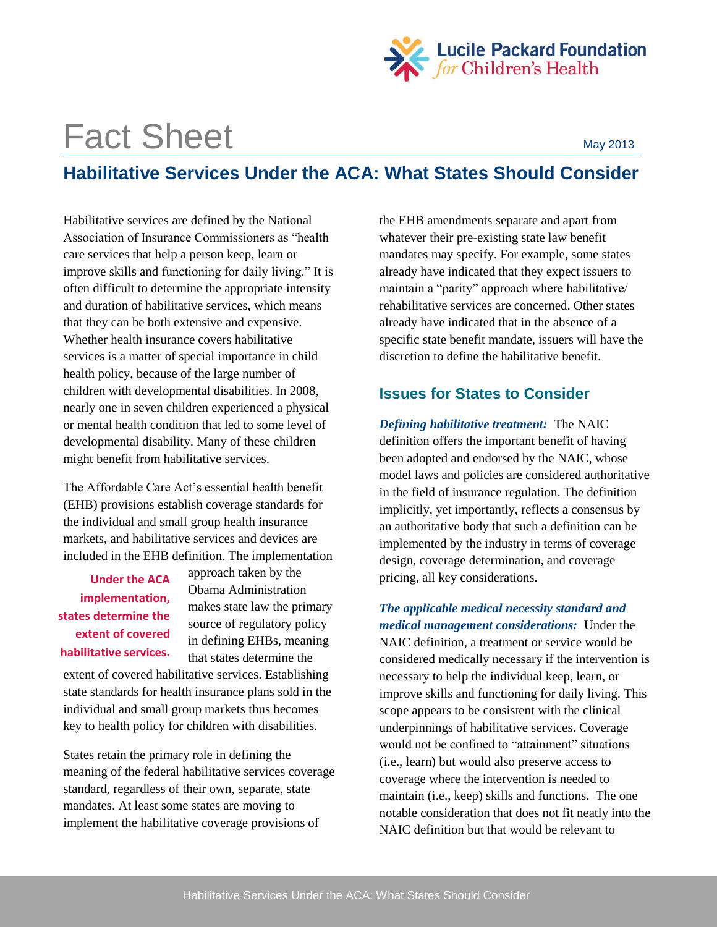

## Fact Sheet May 2013

## **Habilitative Services Under the ACA: What States Should Consider**

Habilitative services are defined by the National Association of Insurance Commissioners as "health care services that help a person keep, learn or improve skills and functioning for daily living." It is often difficult to determine the appropriate intensity and duration of habilitative services, which means that they can be both extensive and expensive. Whether health insurance covers habilitative services is a matter of special importance in child health policy, because of the large number of children with developmental disabilities. In 2008, nearly one in seven children experienced a physical or mental health condition that led to some level of developmental disability. Many of these children might benefit from habilitative services.

The Affordable Care Act's essential health benefit (EHB) provisions establish coverage standards for the individual and small group health insurance markets, and habilitative services and devices are included in the EHB definition. The implementation

**Under the ACA implementation, states determine the extent of covered habilitative services.** 

approach taken by the Obama Administration makes state law the primary source of regulatory policy in defining EHBs, meaning that states determine the

extent of covered habilitative services. Establishing state standards for health insurance plans sold in the individual and small group markets thus becomes key to health policy for children with disabilities.

States retain the primary role in defining the meaning of the federal habilitative services coverage standard, regardless of their own, separate, state mandates. At least some states are moving to implement the habilitative coverage provisions of

the EHB amendments separate and apart from whatever their pre-existing state law benefit mandates may specify. For example, some states already have indicated that they expect issuers to maintain a "parity" approach where habilitative/ rehabilitative services are concerned. Other states already have indicated that in the absence of a specific state benefit mandate, issuers will have the discretion to define the habilitative benefit.

## **Issues for States to Consider**

*Defining habilitative treatment:* The NAIC definition offers the important benefit of having been adopted and endorsed by the NAIC, whose model laws and policies are considered authoritative in the field of insurance regulation. The definition implicitly, yet importantly, reflects a consensus by an authoritative body that such a definition can be implemented by the industry in terms of coverage design, coverage determination, and coverage pricing, all key considerations.

*The applicable medical necessity standard and medical management considerations:* Under the NAIC definition, a treatment or service would be considered medically necessary if the intervention is necessary to help the individual keep, learn, or improve skills and functioning for daily living. This scope appears to be consistent with the clinical underpinnings of habilitative services. Coverage would not be confined to "attainment" situations (i.e., learn) but would also preserve access to coverage where the intervention is needed to maintain (i.e., keep) skills and functions. The one notable consideration that does not fit neatly into the NAIC definition but that would be relevant to